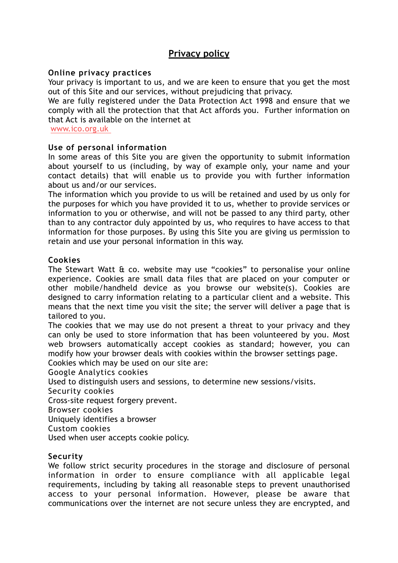# **Privacy policy**

### **Online privacy practices**

Your privacy is important to us, and we are keen to ensure that you get the most out of this Site and our services, without prejudicing that privacy.

We are fully registered under the Data Protection Act 1998 and ensure that we comply with all the protection that that Act affords you. Further information on that Act is available on the internet at

[www.ico.org.uk](http://www.ico.org.uk/)

## **Use of personal information**

In some areas of this Site you are given the opportunity to submit information about yourself to us (including, by way of example only, your name and your contact details) that will enable us to provide you with further information about us and/or our services.

The information which you provide to us will be retained and used by us only for the purposes for which you have provided it to us, whether to provide services or information to you or otherwise, and will not be passed to any third party, other than to any contractor duly appointed by us, who requires to have access to that information for those purposes. By using this Site you are giving us permission to retain and use your personal information in this way.

## **Cookies**

The Stewart Watt & co. website may use "cookies" to personalise your online experience. Cookies are small data files that are placed on your computer or other mobile/handheld device as you browse our website(s). Cookies are designed to carry information relating to a particular client and a website. This means that the next time you visit the site; the server will deliver a page that is tailored to you.

The cookies that we may use do not present a threat to your privacy and they can only be used to store information that has been volunteered by you. Most web browsers automatically accept cookies as standard; however, you can modify how your browser deals with cookies within the browser settings page.

Cookies which may be used on our site are:

Google Analytics cookies

Used to distinguish users and sessions, to determine new sessions/visits.

Security cookies

Cross-site request forgery prevent.

Browser cookies

Uniquely identifies a browser

Custom cookies

Used when user accepts cookie policy.

# **Security**

We follow strict security procedures in the storage and disclosure of personal information in order to ensure compliance with all applicable legal requirements, including by taking all reasonable steps to prevent unauthorised access to your personal information. However, please be aware that communications over the internet are not secure unless they are encrypted, and